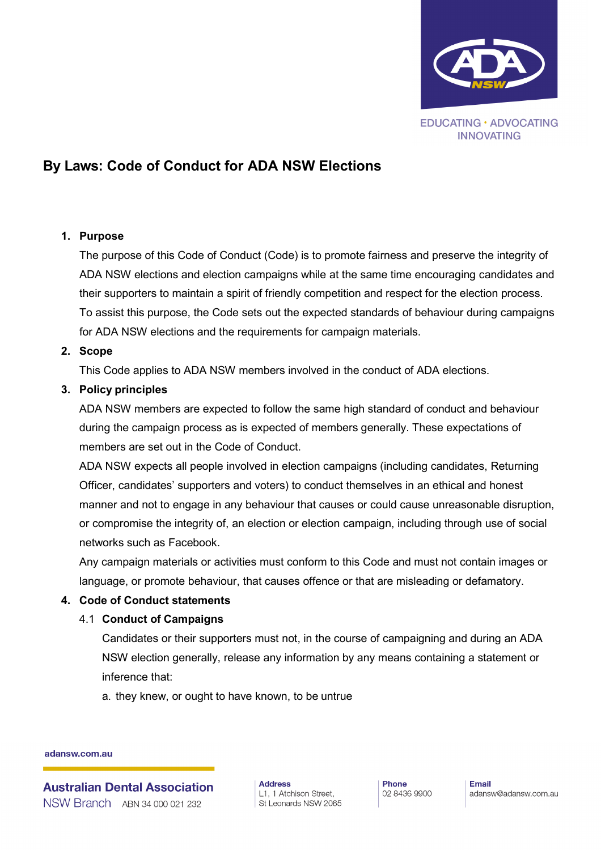

# **By Laws: Code of Conduct for ADA NSW Elections**

## **1. Purpose**

The purpose of this Code of Conduct (Code) is to promote fairness and preserve the integrity of ADA NSW elections and election campaigns while at the same time encouraging candidates and their supporters to maintain a spirit of friendly competition and respect for the election process. To assist this purpose, the Code sets out the expected standards of behaviour during campaigns for ADA NSW elections and the requirements for campaign materials.

## **2. Scope**

This Code applies to ADA NSW members involved in the conduct of ADA elections.

## **3. Policy principles**

ADA NSW members are expected to follow the same high standard of conduct and behaviour during the campaign process as is expected of members generally. These expectations of members are set out in the Code of Conduct.

ADA NSW expects all people involved in election campaigns (including candidates, Returning Officer, candidates' supporters and voters) to conduct themselves in an ethical and honest manner and not to engage in any behaviour that causes or could cause unreasonable disruption, or compromise the integrity of, an election or election campaign, including through use of social networks such as Facebook.

Any campaign materials or activities must conform to this Code and must not contain images or language, or promote behaviour, that causes offence or that are misleading or defamatory.

#### **4. Code of Conduct statements**

# 4.1 **Conduct of Campaigns**

Candidates or their supporters must not, in the course of campaigning and during an ADA NSW election generally, release any information by any means containing a statement or inference that:

a. they knew, or ought to have known, to be untrue

adansw.com.au

**Australian Dental Association** NSW Branch ABN 34 000 021 232

**Address** L1, 1 Atchison Street, St Leonards NSW 2065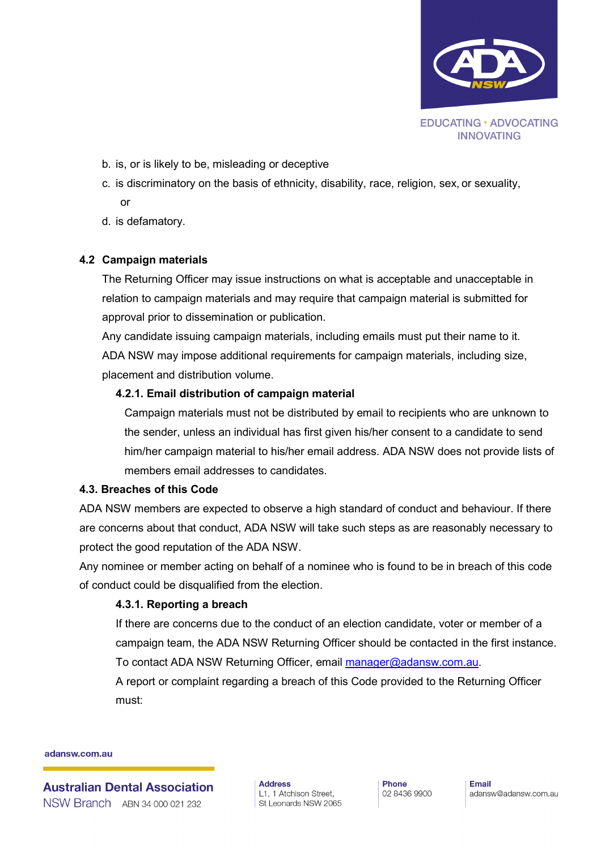

- b. is, or is likely to be, misleading or deceptive
- c. is discriminatory on the basis of ethnicity, disability, race, religion, sex, or sexuality, or
- d. is defamatory.

# **4.2 Campaign materials**

The Returning Officer may issue instructions on what is acceptable and unacceptable in relation to campaign materials and may require that campaign material is submitted for approval prior to dissemination or publication.

Any candidate issuing campaign materials, including emails must put their name to it. ADA NSW may impose additional requirements for campaign materials, including size, placement and distribution volume.

# **4.2.1. Email distribution of campaign material**

Campaign materials must not be distributed by email to recipients who are unknown to the sender, unless an individual has first given his/her consent to a candidate to send him/her campaign material to his/her email address. ADA NSW does not provide lists of members email addresses to candidates.

#### **4.3. Breaches of this Code**

ADA NSW members are expected to observe a high standard of conduct and behaviour. If there are concerns about that conduct, ADA NSW will take such steps as are reasonably necessary to protect the good reputation of the ADA NSW.

Any nominee or member acting on behalf of a nominee who is found to be in breach of this code of conduct could be disqualified from the election.

# **4.3.1. Reporting a breach**

If there are concerns due to the conduct of an election candidate, voter or member of a campaign team, the ADA NSW Returning Officer should be contacted in the first instance. To contact ADA NSW Returning Officer, email [manager@adansw.com.au.](mailto:manager@adansw.com.au)

A report or complaint regarding a breach of this Code provided to the Returning Officer must:

adansw.com.au